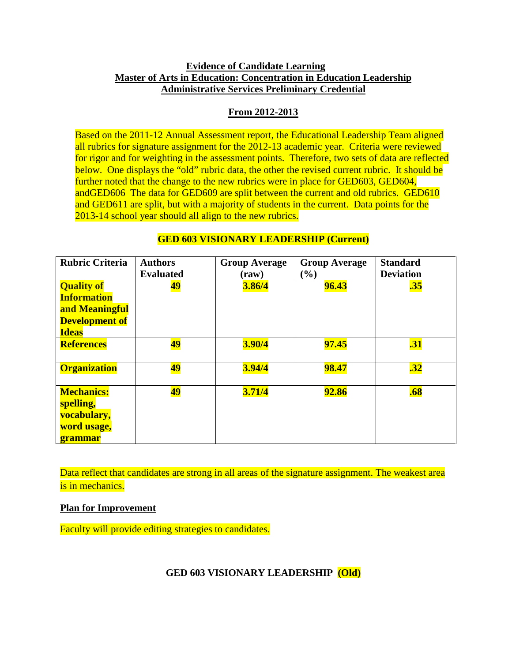# **Evidence of Candidate Learning Master of Arts in Education: Concentration in Education Leadership Administrative Services Preliminary Credential**

# **From 2012-2013**

Based on the 2011-12 Annual Assessment report, the Educational Leadership Team aligned all rubrics for signature assignment for the 2012-13 academic year. Criteria were reviewed for rigor and for weighting in the assessment points. Therefore, two sets of data are reflected below. One displays the "old" rubric data, the other the revised current rubric. It should be further noted that the change to the new rubrics were in place for GED603, GED604, andGED606 The data for GED609 are split between the current and old rubrics. GED610 and GED611 are split, but with a majority of students in the current. Data points for the 2013-14 school year should all align to the new rubrics.

| <b>Rubric Criteria</b>                                                                             | <b>Authors</b>   | <b>Group Average</b> | <b>Group Average</b>         | <b>Standard</b>  |
|----------------------------------------------------------------------------------------------------|------------------|----------------------|------------------------------|------------------|
|                                                                                                    | <b>Evaluated</b> | (raw)                | $\left( \frac{0}{0} \right)$ | <b>Deviation</b> |
| <b>Quality of</b><br><b>Information</b><br>and Meaningful<br><b>Development of</b><br><b>Ideas</b> | 49               | 3.86/4               | 96.43                        | $\overline{.35}$ |
| <b>References</b>                                                                                  | <u>49</u>        | 3.90/4               | <b>97.45</b>                 | $\overline{.31}$ |
| <b>Organization</b>                                                                                | <b>49</b>        | 3.94/4               | 98.47                        | $\overline{.32}$ |
| <b>Mechanics:</b><br>spelling,<br>vocabulary,<br>word usage,<br><b>grammar</b>                     | <b>49</b>        | 3.71/4               | <b>92.86</b>                 | .68              |

# **GED 603 VISIONARY LEADERSHIP (Current)**

Data reflect that candidates are strong in all areas of the signature assignment. The weakest area is in mechanics.

**Plan for Improvement**

Faculty will provide editing strategies to candidates.

**GED 603 VISIONARY LEADERSHIP (Old)**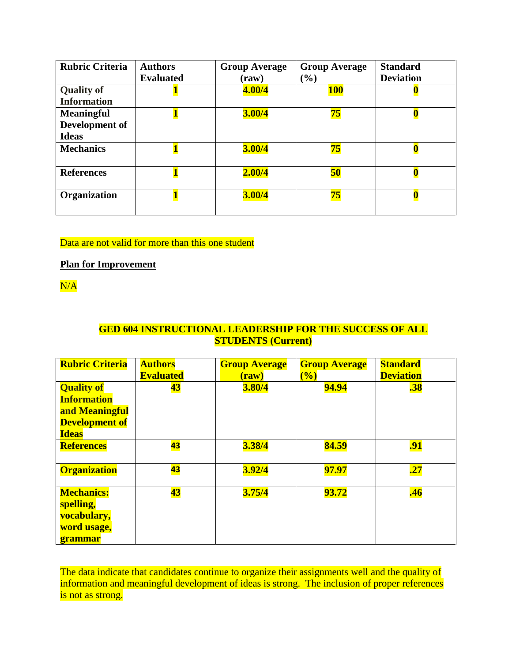| <b>Rubric Criteria</b>                              | <b>Authors</b><br><b>Evaluated</b> | <b>Group Average</b><br>$(\mathbf{raw})$ | <b>Group Average</b><br>$(\%)$ | <b>Standard</b><br><b>Deviation</b> |
|-----------------------------------------------------|------------------------------------|------------------------------------------|--------------------------------|-------------------------------------|
| <b>Quality of</b><br><b>Information</b>             |                                    | 4.00/4                                   | <b>100</b>                     |                                     |
| <b>Meaningful</b><br>Development of<br><b>Ideas</b> |                                    | 3.00/4                                   | <mark>75</mark>                |                                     |
| <b>Mechanics</b>                                    |                                    | 3.00/4                                   | <b>75</b>                      |                                     |
| <b>References</b>                                   |                                    | 2.00/4                                   | <b>50</b>                      |                                     |
| Organization                                        |                                    | 3.00/4                                   | 75                             |                                     |

# Data are not valid for more than this one student

## **Plan for Improvement**

 $N/A$ 

# **GED 604 INSTRUCTIONAL LEADERSHIP FOR THE SUCCESS OF ALL STUDENTS (Current)**

| <b>Rubric Criteria</b>                                                                             | <b>Authors</b><br><b>Evaluated</b> | <b>Group Average</b><br>$(\bf{raw})$ | <b>Group Average</b><br>(%) | <b>Standard</b><br><b>Deviation</b> |
|----------------------------------------------------------------------------------------------------|------------------------------------|--------------------------------------|-----------------------------|-------------------------------------|
| <b>Quality of</b><br><b>Information</b><br>and Meaningful<br><b>Development of</b><br><b>Ideas</b> | 43                                 | 3.80/4                               | <b>94.94</b>                | .38                                 |
| <b>References</b>                                                                                  | 43                                 | 3.38/4                               | 84.59                       | .91                                 |
| <b>Organization</b>                                                                                | 43                                 | 3.92/4                               | 97.97                       | .27                                 |
| <b>Mechanics:</b><br>spelling,<br>vocabulary,<br>word usage,<br>grammar                            | 43                                 | 3.75/4                               | 93.72                       | .46                                 |

The data indicate that candidates continue to organize their assignments well and the quality of information and meaningful development of ideas is strong. The inclusion of proper references is not as strong.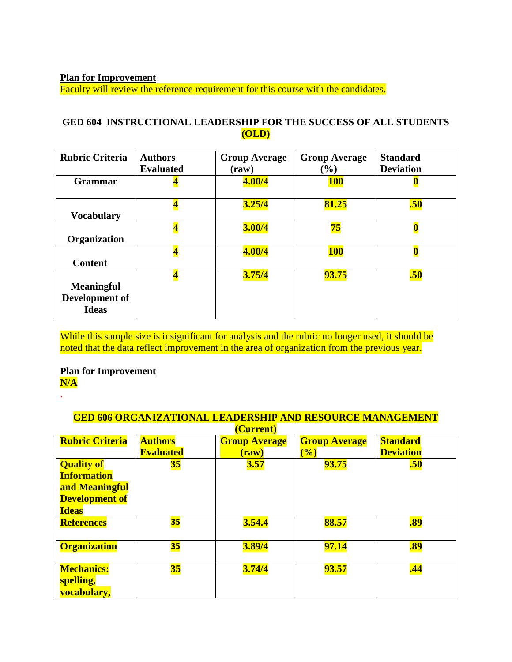**Plan for Improvement**

Faculty will review the reference requirement for this course with the candidates.

# **GED 604 INSTRUCTIONAL LEADERSHIP FOR THE SUCCESS OF ALL STUDENTS (OLD)**

| <b>Rubric Criteria</b>                              | <b>Authors</b><br><b>Evaluated</b> | <b>Group Average</b><br>$(\mathbf{raw})$ | <b>Group Average</b><br>$($ %) | <b>Standard</b><br><b>Deviation</b> |
|-----------------------------------------------------|------------------------------------|------------------------------------------|--------------------------------|-------------------------------------|
| <b>Grammar</b>                                      | $\overline{\mathbf{4}}$            | 4.00/4                                   | <b>100</b>                     |                                     |
| <b>Vocabulary</b>                                   | $\overline{\mathbf{4}}$            | 3.25/4                                   | 81.25                          | .50                                 |
| Organization                                        | $\overline{\mathbf{4}}$            | 3.00/4                                   | $75\,$                         |                                     |
| <b>Content</b>                                      | $\overline{\mathbf{4}}$            | 4.00/4                                   | <b>100</b>                     |                                     |
| <b>Meaningful</b><br>Development of<br><b>Ideas</b> | $\overline{\mathbf{4}}$            | 3.75/4                                   | <b>93.75</b>                   | .50                                 |

While this sample size is insignificant for analysis and the rubric no longer used, it should be noted that the data reflect improvement in the area of organization from the previous year.

**Plan for Improvement N/A**

.

| <b>GED 606 ORGANIZATIONAL LEADERSHIP AND RESOURCE MANAGEMENT</b>                                   |                  |                      |                      |                  |  |
|----------------------------------------------------------------------------------------------------|------------------|----------------------|----------------------|------------------|--|
|                                                                                                    |                  | (Current)            |                      |                  |  |
| <b>Rubric Criteria</b>                                                                             | <b>Authors</b>   | <b>Group Average</b> | <b>Group Average</b> | <b>Standard</b>  |  |
|                                                                                                    | <b>Evaluated</b> | (raw)                | (%)                  | <b>Deviation</b> |  |
| <b>Quality of</b><br><b>Information</b><br>and Meaningful<br><b>Development of</b><br><b>Ideas</b> | $35\,$           | 3.57                 | 93.75                | .50              |  |
| <b>References</b>                                                                                  | <b>35</b>        | 3.54.4               | 88.57                | .89              |  |
| <b>Organization</b>                                                                                | 35               | 3.89/4               | <b>97.14</b>         | .89              |  |
| <b>Mechanics:</b><br>spelling,<br>vocabulary,                                                      | $\overline{35}$  | 3.74/4               | 93.57                | .44              |  |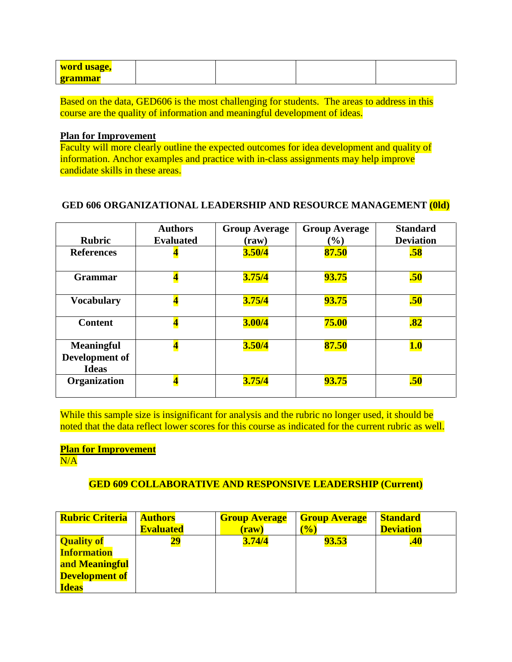| word usage,    |  |  |
|----------------|--|--|
| <u>grammar</u> |  |  |

Based on the data, GED606 is the most challenging for students. The areas to address in this course are the quality of information and meaningful development of ideas.

#### **Plan for Improvement**

Faculty will more clearly outline the expected outcomes for idea development and quality of information. Anchor examples and practice with in-class assignments may help improve candidate skills in these areas.

## **GED 606 ORGANIZATIONAL LEADERSHIP AND RESOURCE MANAGEMENT (0ld)**

| <b>Rubric</b>                       | <b>Authors</b><br><b>Evaluated</b> | <b>Group Average</b><br>(raw) | <b>Group Average</b><br>$(\%)$ | <b>Standard</b><br><b>Deviation</b> |
|-------------------------------------|------------------------------------|-------------------------------|--------------------------------|-------------------------------------|
| <b>References</b>                   |                                    | 3.50/4                        | 87.50                          | .58                                 |
|                                     |                                    |                               |                                |                                     |
| <b>Grammar</b>                      | $\overline{\mathbf{4}}$            | 3.75/4                        | <b>93.75</b>                   | .50                                 |
| <b>Vocabulary</b>                   | $\overline{\mathbf{4}}$            | 3.75/4                        | <b>93.75</b>                   | .50                                 |
| <b>Content</b>                      | 4                                  | 3.00/4                        | 75.00                          | $\overline{.82}$                    |
| <b>Meaningful</b><br>Development of | $\overline{\mathbf{4}}$            | 3.50/4                        | 87.50                          | <b>1.0</b>                          |
| <b>Ideas</b>                        |                                    |                               |                                |                                     |
| Organization                        | 4                                  | 3.75/4                        | <b>93.75</b>                   | .50                                 |

While this sample size is insignificant for analysis and the rubric no longer used, it should be noted that the data reflect lower scores for this course as indicated for the current rubric as well.

# **Plan for Improvement**

 $N/A$ 

# **GED 609 COLLABORATIVE AND RESPONSIVE LEADERSHIP (Current)**

| <b>Rubric Criteria</b> | <b>Authors</b>   | <b>Group Average</b> | <b>Group Average</b> | <b>Standard</b>  |
|------------------------|------------------|----------------------|----------------------|------------------|
|                        | <b>Evaluated</b> | $(\bf{raw})$         | (0/0)                | <b>Deviation</b> |
| <b>Quality of</b>      | 29               | 3.74/4               | 93.53                | <b>.40</b>       |
| <b>Information</b>     |                  |                      |                      |                  |
| and Meaningful         |                  |                      |                      |                  |
| <b>Development of</b>  |                  |                      |                      |                  |
| <b>Ideas</b>           |                  |                      |                      |                  |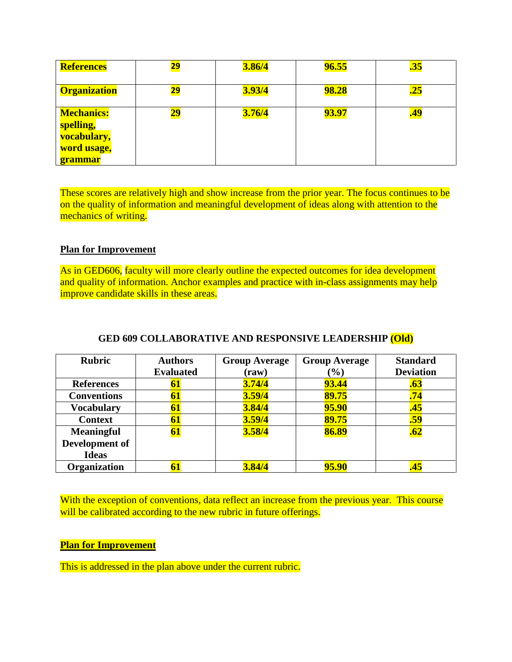| <b>References</b>                                                              | 29         | 3.86/4 | 96.55        | <u>35.</u> |
|--------------------------------------------------------------------------------|------------|--------|--------------|------------|
| <b>Organization</b>                                                            | <u> 29</u> | 3.93/4 | <b>98.28</b> | <u>.25</u> |
| <b>Mechanics:</b><br>spelling,<br>vocabulary,<br>word usage,<br><u>grammar</u> |            | 3.76/4 | 93.97        | <u>49,</u> |

These scores are relatively high and show increase from the prior year. The focus continues to be on the quality of information and meaningful development of ideas along with attention to the mechanics of writing.

#### **Plan for Improvement**

As in GED606, faculty will more clearly outline the expected outcomes for idea development and quality of information. Anchor examples and practice with in-class assignments may help improve candidate skills in these areas.

| <b>Rubric</b>      | <b>Authors</b><br><b>Evaluated</b> | <b>Group Average</b><br>$(\mathbf{raw})$ | <b>Group Average</b><br>$(\%)$ | <b>Standard</b><br><b>Deviation</b> |
|--------------------|------------------------------------|------------------------------------------|--------------------------------|-------------------------------------|
| <b>References</b>  | 61                                 | 3.74/4                                   | <b>93.44</b>                   | .63                                 |
| <b>Conventions</b> | 61                                 | 3.59/4                                   | 89.75                          | .74                                 |
| <b>Vocabulary</b>  | 61                                 | 3.84/4                                   | <b>95.90</b>                   | .45                                 |
| <b>Context</b>     | 61                                 | 3.59/4                                   | 89.75                          | .59                                 |
| <b>Meaningful</b>  | <b>61</b>                          | 3.58/4                                   | 86.89                          | .62                                 |
| Development of     |                                    |                                          |                                |                                     |
| <b>Ideas</b>       |                                    |                                          |                                |                                     |
| Organization       | 61                                 | 3.84/4                                   | 95.90                          | <b>.45</b>                          |

#### **GED 609 COLLABORATIVE AND RESPONSIVE LEADERSHIP (Old)**

With the exception of conventions, data reflect an increase from the previous year. This course will be calibrated according to the new rubric in future offerings.

## **Plan for Improvement**

This is addressed in the plan above under the current rubric.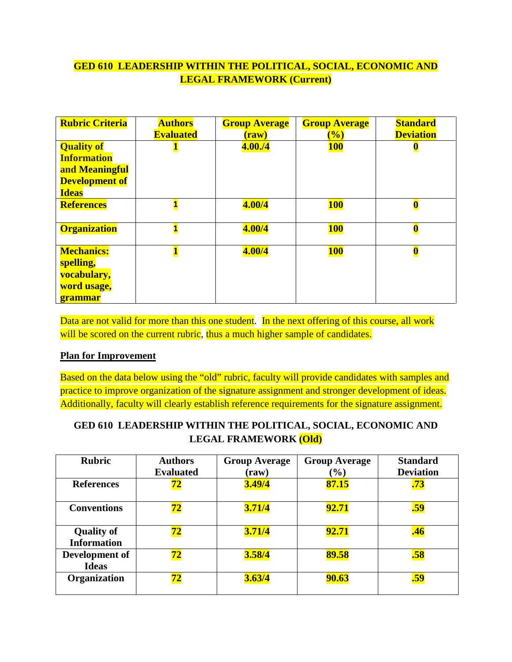# **GED 610 LEADERSHIP WITHIN THE POLITICAL, SOCIAL, ECONOMIC AND LEGAL FRAMEWORK (Current)**

| <b>Rubric Criteria</b>                                                                             | <b>Authors</b><br><b>Evaluated</b> | <b>Group Average</b><br>$(\mathbf{raw})$ | <b>Group Average</b><br>$\left(\frac{0}{0}\right)$ | <b>Standard</b><br><b>Deviation</b> |
|----------------------------------------------------------------------------------------------------|------------------------------------|------------------------------------------|----------------------------------------------------|-------------------------------------|
| <b>Quality of</b><br><b>Information</b><br>and Meaningful<br><b>Development of</b><br><b>Ideas</b> |                                    | 4.00./4                                  | <b>100</b>                                         |                                     |
| <b>References</b>                                                                                  | $\overline{\mathbf{1}}$            | 4.00/4                                   | <b>100</b>                                         | $\overline{\mathbf{0}}$             |
| <b>Organization</b>                                                                                | $\overline{\mathbf{1}}$            | 4.00/4                                   | <b>100</b>                                         | $\overline{\mathbf{0}}$             |
| <b>Mechanics:</b><br>spelling,<br>vocabulary,<br>word usage,<br><b>grammar</b>                     |                                    | 4.00/4                                   | <b>100</b>                                         | $\overline{\mathbf{0}}$             |

Data are not valid for more than this one student. In the next offering of this course, all work will be scored on the current rubric, thus a much higher sample of candidates.

# **Plan for Improvement**

Based on the data below using the "old" rubric, faculty will provide candidates with samples and practice to improve organization of the signature assignment and stronger development of ideas. Additionally, faculty will clearly establish reference requirements for the signature assignment.

# **GED 610 LEADERSHIP WITHIN THE POLITICAL, SOCIAL, ECONOMIC AND LEGAL FRAMEWORK (Old)**

| <b>Rubric</b>                           | <b>Authors</b><br><b>Evaluated</b> | <b>Group Average</b><br>$(\mathbf{raw})$ | <b>Group Average</b><br>$(\%)$ | <b>Standard</b><br><b>Deviation</b> |
|-----------------------------------------|------------------------------------|------------------------------------------|--------------------------------|-------------------------------------|
| <b>References</b>                       | 72                                 | 3.49/4                                   | 87.15                          | .73                                 |
| <b>Conventions</b>                      | 72                                 | 3.71/4                                   | 92.71                          | .59                                 |
| <b>Quality of</b><br><b>Information</b> | 72                                 | 3.71/4                                   | 92.71                          | .46                                 |
| Development of<br><b>Ideas</b>          | 72                                 | 3.58/4                                   | 89.58                          | .58                                 |
| Organization                            | 72                                 | 3.63/4                                   | <b>90.63</b>                   | .59                                 |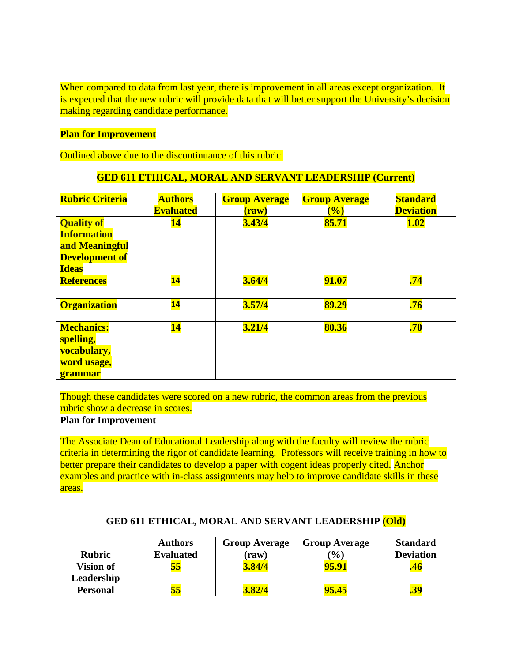When compared to data from last year, there is improvement in all areas except organization. It is expected that the new rubric will provide data that will better support the University's decision making regarding candidate performance.

## **Plan for Improvement**

Outlined above due to the discontinuance of this rubric.

## **GED 611 ETHICAL, MORAL AND SERVANT LEADERSHIP (Current)**

| <b>Rubric Criteria</b>                                                                             | <b>Authors</b><br><b>Evaluated</b> | <b>Group Average</b><br>$(\bf{raw})$ | <b>Group Average</b><br>(%) | <b>Standard</b><br><b>Deviation</b> |
|----------------------------------------------------------------------------------------------------|------------------------------------|--------------------------------------|-----------------------------|-------------------------------------|
| <b>Quality of</b><br><b>Information</b><br>and Meaningful<br><b>Development of</b><br><b>Ideas</b> | <u>14</u>                          | 3.43/4                               | 85.71                       | <b>1.02</b>                         |
| <b>References</b>                                                                                  | $\overline{\mathbf{14}}$           | 3.64/4                               | 91.07                       | .74                                 |
| <b>Organization</b>                                                                                | $\overline{\mathbf{14}}$           | 3.57/4                               | 89.29                       | .76                                 |
| <b>Mechanics:</b><br>spelling,<br>vocabulary,<br>word usage,<br><b>grammar</b>                     | <u>14</u>                          | 3.21/4                               | 80.36                       | .70                                 |

Though these candidates were scored on a new rubric, the common areas from the previous rubric show a decrease in scores.

#### **Plan for Improvement**

The Associate Dean of Educational Leadership along with the faculty will review the rubric criteria in determining the rigor of candidate learning. Professors will receive training in how to better prepare their candidates to develop a paper with cogent ideas properly cited. Anchor examples and practice with in-class assignments may help to improve candidate skills in these areas.

| <b>Rubric</b>    | <b>Authors</b><br><b>Evaluated</b> | <b>Group Average</b><br>(raw) | <b>Group Average</b><br>(%) | <b>Standard</b><br><b>Deviation</b> |
|------------------|------------------------------------|-------------------------------|-----------------------------|-------------------------------------|
| <b>Vision of</b> | 55                                 | 3.84/4                        | 95.91                       | ,46                                 |
| Leadership       |                                    |                               |                             |                                     |
| <b>Personal</b>  | 55                                 | 3.82/4                        | 95.45                       |                                     |

#### **GED 611 ETHICAL, MORAL AND SERVANT LEADERSHIP (Old)**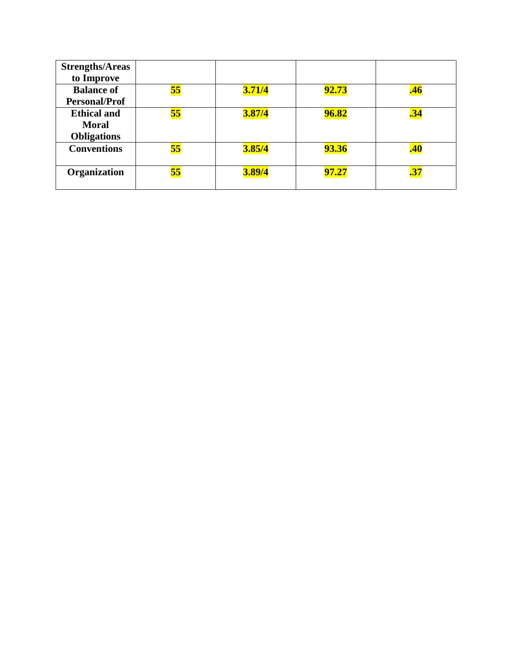| <b>Strengths/Areas</b> |           |        |              |     |
|------------------------|-----------|--------|--------------|-----|
| to Improve             |           |        |              |     |
| <b>Balance of</b>      | <b>55</b> | 3.71/4 | <b>92.73</b> |     |
| <b>Personal/Prof</b>   |           |        |              |     |
| <b>Ethical and</b>     | <b>55</b> | 3.87/4 | <b>96.82</b> | .34 |
| <b>Moral</b>           |           |        |              |     |
| <b>Obligations</b>     |           |        |              |     |
| <b>Conventions</b>     | 55        | 3.85/4 | <b>93.36</b> | .40 |
|                        |           |        |              |     |
| Organization           | 55        | 3.89/4 | 97.27        | .37 |
|                        |           |        |              |     |